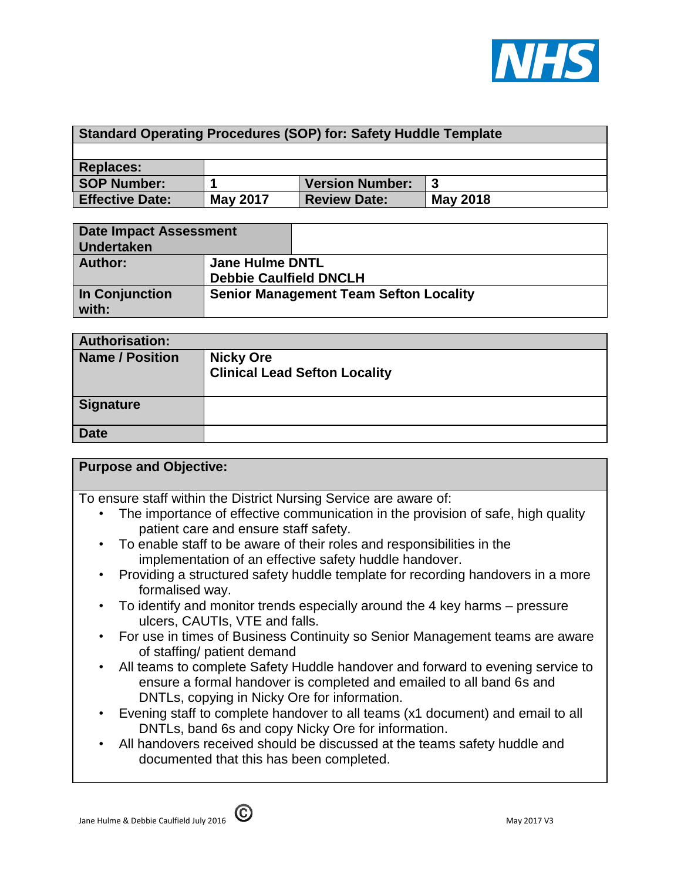

| <b>Standard Operating Procedures (SOP) for: Safety Huddle Template</b> |                 |                        |                 |
|------------------------------------------------------------------------|-----------------|------------------------|-----------------|
|                                                                        |                 |                        |                 |
| <b>Replaces:</b>                                                       |                 |                        |                 |
| <b>SOP Number:</b>                                                     |                 | <b>Version Number:</b> |                 |
| <b>Effective Date:</b>                                                 | <b>May 2017</b> | <b>Review Date:</b>    | <b>May 2018</b> |

| <b>Date Impact Assessment</b><br><b>Undertaken</b> |                                                         |  |
|----------------------------------------------------|---------------------------------------------------------|--|
| Author:                                            | <b>Jane Hulme DNTL</b><br><b>Debbie Caulfield DNCLH</b> |  |
| In Conjunction<br>with:                            | <b>Senior Management Team Sefton Locality</b>           |  |

| <b>Authorisation:</b>  |                                                          |
|------------------------|----------------------------------------------------------|
| <b>Name / Position</b> | <b>Nicky Ore</b><br><b>Clinical Lead Sefton Locality</b> |
| <b>Signature</b>       |                                                          |
| <b>Date</b>            |                                                          |

| <b>Purpose and Objective:</b> |  |  |  |
|-------------------------------|--|--|--|
|-------------------------------|--|--|--|

To ensure staff within the District Nursing Service are aware of:

- The importance of effective communication in the provision of safe, high quality patient care and ensure staff safety.
- To enable staff to be aware of their roles and responsibilities in the implementation of an effective safety huddle handover.
- Providing a structured safety huddle template for recording handovers in a more formalised way.
- To identify and monitor trends especially around the 4 key harms pressure ulcers, CAUTIs, VTE and falls.
- For use in times of Business Continuity so Senior Management teams are aware of staffing/ patient demand
- All teams to complete Safety Huddle handover and forward to evening service to ensure a formal handover is completed and emailed to all band 6s and DNTLs, copying in Nicky Ore for information.
- Evening staff to complete handover to all teams (x1 document) and email to all DNTLs, band 6s and copy Nicky Ore for information.
- All handovers received should be discussed at the teams safety huddle and documented that this has been completed.

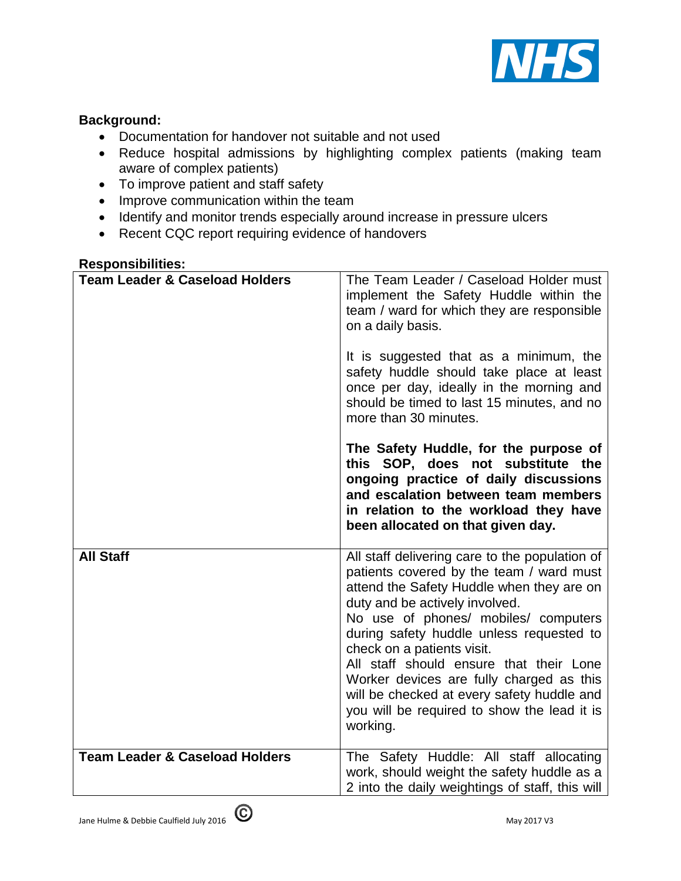

## **Background:**

- Documentation for handover not suitable and not used
- Reduce hospital admissions by highlighting complex patients (making team aware of complex patients)
- To improve patient and staff safety
- Improve communication within the team
- Identify and monitor trends especially around increase in pressure ulcers
- Recent CQC report requiring evidence of handovers

## **Responsibilities:**

| <b>Team Leader &amp; Caseload Holders</b> | The Team Leader / Caseload Holder must<br>implement the Safety Huddle within the<br>team / ward for which they are responsible<br>on a daily basis.<br>It is suggested that as a minimum, the<br>safety huddle should take place at least<br>once per day, ideally in the morning and<br>should be timed to last 15 minutes, and no<br>more than 30 minutes.                                                                                                                                |
|-------------------------------------------|---------------------------------------------------------------------------------------------------------------------------------------------------------------------------------------------------------------------------------------------------------------------------------------------------------------------------------------------------------------------------------------------------------------------------------------------------------------------------------------------|
|                                           | The Safety Huddle, for the purpose of<br>this SOP, does not substitute the<br>ongoing practice of daily discussions<br>and escalation between team members<br>in relation to the workload they have<br>been allocated on that given day.                                                                                                                                                                                                                                                    |
| <b>All Staff</b>                          | All staff delivering care to the population of<br>patients covered by the team / ward must<br>attend the Safety Huddle when they are on<br>duty and be actively involved.<br>No use of phones/ mobiles/ computers<br>during safety huddle unless requested to<br>check on a patients visit.<br>All staff should ensure that their Lone<br>Worker devices are fully charged as this<br>will be checked at every safety huddle and<br>you will be required to show the lead it is<br>working. |
| <b>Team Leader &amp; Caseload Holders</b> | The Safety Huddle: All staff allocating<br>work, should weight the safety huddle as a<br>2 into the daily weightings of staff, this will                                                                                                                                                                                                                                                                                                                                                    |

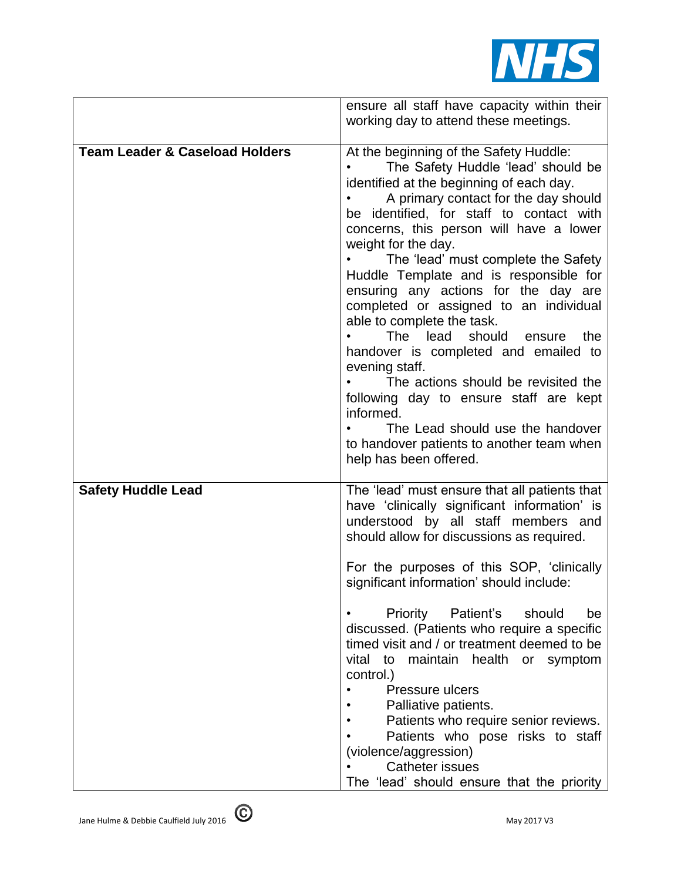

|                                           | ensure all staff have capacity within their<br>working day to attend these meetings.                                                                                                                                                                                                                                                                                                                                                                                                                                                                                                                                                                                                                                                                                                                |
|-------------------------------------------|-----------------------------------------------------------------------------------------------------------------------------------------------------------------------------------------------------------------------------------------------------------------------------------------------------------------------------------------------------------------------------------------------------------------------------------------------------------------------------------------------------------------------------------------------------------------------------------------------------------------------------------------------------------------------------------------------------------------------------------------------------------------------------------------------------|
| <b>Team Leader &amp; Caseload Holders</b> | At the beginning of the Safety Huddle:<br>The Safety Huddle 'lead' should be<br>identified at the beginning of each day.<br>A primary contact for the day should<br>be identified, for staff to contact with<br>concerns, this person will have a lower<br>weight for the day.<br>The 'lead' must complete the Safety<br>Huddle Template and is responsible for<br>ensuring any actions for the day are<br>completed or assigned to an individual<br>able to complete the task.<br>should<br><b>The</b><br>lead<br>the<br>ensure<br>handover is completed and emailed to<br>evening staff.<br>The actions should be revisited the<br>following day to ensure staff are kept<br>informed.<br>The Lead should use the handover<br>to handover patients to another team when<br>help has been offered. |
| <b>Safety Huddle Lead</b>                 | The 'lead' must ensure that all patients that<br>have 'clinically significant information' is<br>understood by all staff members and<br>should allow for discussions as required.<br>For the purposes of this SOP, 'clinically<br>significant information' should include:<br>Priority Patient's should<br>be<br>discussed. (Patients who require a specific<br>timed visit and / or treatment deemed to be<br>vital to maintain health or symptom<br>control.)<br>Pressure ulcers<br>Palliative patients.<br>Patients who require senior reviews.<br>Patients who pose risks to staff<br>(violence/aggression)<br><b>Catheter issues</b><br>The 'lead' should ensure that the priority                                                                                                             |

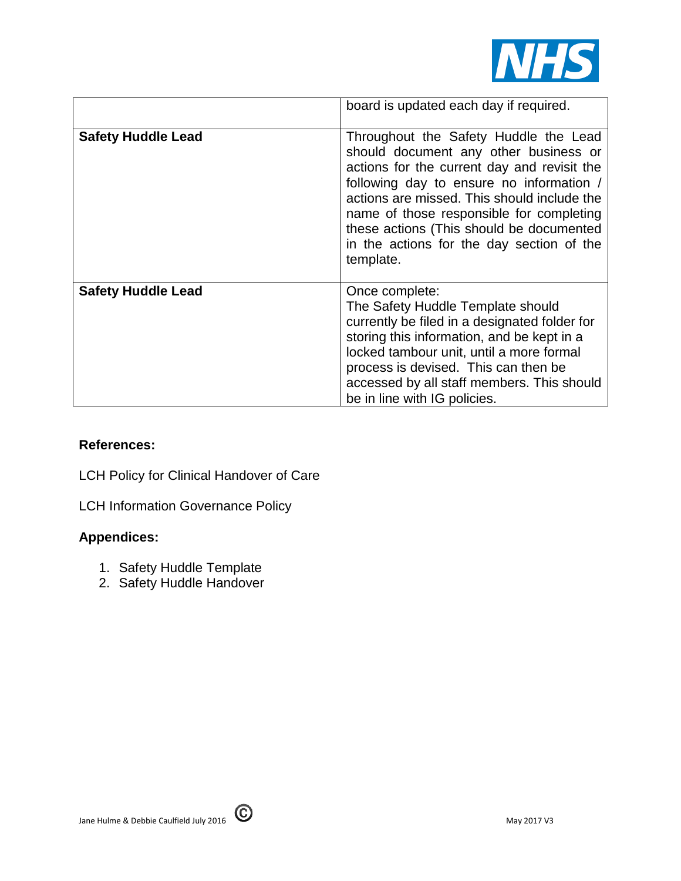

|                           | board is updated each day if required.                                                                                                                                                                                                                                                                                                                                     |
|---------------------------|----------------------------------------------------------------------------------------------------------------------------------------------------------------------------------------------------------------------------------------------------------------------------------------------------------------------------------------------------------------------------|
| <b>Safety Huddle Lead</b> | Throughout the Safety Huddle the Lead<br>should document any other business or<br>actions for the current day and revisit the<br>following day to ensure no information /<br>actions are missed. This should include the<br>name of those responsible for completing<br>these actions (This should be documented<br>in the actions for the day section of the<br>template. |
| <b>Safety Huddle Lead</b> | Once complete:<br>The Safety Huddle Template should<br>currently be filed in a designated folder for<br>storing this information, and be kept in a<br>locked tambour unit, until a more formal<br>process is devised. This can then be<br>accessed by all staff members. This should<br>be in line with IG policies.                                                       |

## **References:**

LCH Policy for Clinical Handover of Care

LCH Information Governance Policy

## **Appendices:**

- 1. Safety Huddle Template
- 2. Safety Huddle Handover